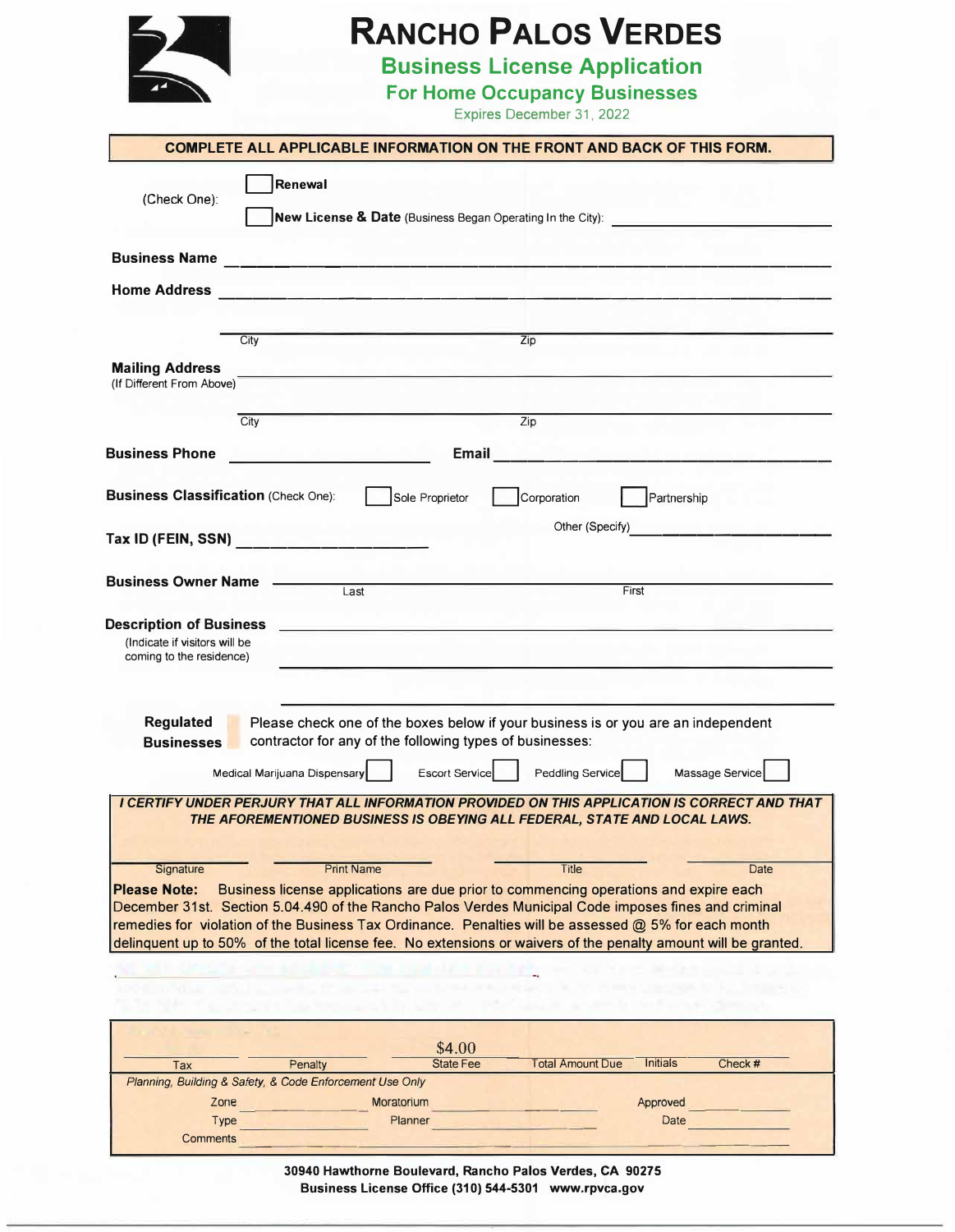## **RANCHO PALOS VERDES**

**Business License Application** 

|  |  | <b>For Home Occupancy Businesses</b> |
|--|--|--------------------------------------|
|--|--|--------------------------------------|

Expires December 31, 2022

|                                                                                             | <b>COMPLETE ALL APPLICABLE INFORMATION ON THE FRONT AND BACK OF THIS FORM.</b>                                                                                                                                                                                                                                                                                                                                                                               |
|---------------------------------------------------------------------------------------------|--------------------------------------------------------------------------------------------------------------------------------------------------------------------------------------------------------------------------------------------------------------------------------------------------------------------------------------------------------------------------------------------------------------------------------------------------------------|
| (Check One):                                                                                | Renewal<br><b>New License &amp; Date</b> (Business Began Operating In the City):                                                                                                                                                                                                                                                                                                                                                                             |
| <b>Business Name</b>                                                                        | <u> 1989 - Jan James Barn, mansfert de Barn, mansfert de la partie de la partie de la partie de la partie de la p</u>                                                                                                                                                                                                                                                                                                                                        |
| <b>Home Address</b>                                                                         | <u> 1989 - John Stone, menskip politik (d. 1989)</u>                                                                                                                                                                                                                                                                                                                                                                                                         |
|                                                                                             | Zip<br>City                                                                                                                                                                                                                                                                                                                                                                                                                                                  |
| <b>Mailing Address</b><br>(If Different From Above)                                         |                                                                                                                                                                                                                                                                                                                                                                                                                                                              |
|                                                                                             | City<br>$\overline{Zip}$                                                                                                                                                                                                                                                                                                                                                                                                                                     |
| <b>Business Phone</b>                                                                       | <b>Email</b>                                                                                                                                                                                                                                                                                                                                                                                                                                                 |
| <b>Business Classification (Check One):</b>                                                 | Partnership<br>Sole Proprietor<br>Corporation<br>Other (Specify)                                                                                                                                                                                                                                                                                                                                                                                             |
| Tax ID (FEIN, SSN)                                                                          |                                                                                                                                                                                                                                                                                                                                                                                                                                                              |
| <b>Business Owner Name</b>                                                                  | First<br>Last                                                                                                                                                                                                                                                                                                                                                                                                                                                |
| <b>Description of Business</b><br>(Indicate if visitors will be<br>coming to the residence) | the contract of the contract of the contract of the contract of the contract of the contract of the contract of                                                                                                                                                                                                                                                                                                                                              |
| <b>Regulated</b><br><b>Businesses</b>                                                       | Please check one of the boxes below if your business is or you are an independent<br>contractor for any of the following types of businesses:                                                                                                                                                                                                                                                                                                                |
|                                                                                             | Peddling Service<br>Massage Service<br>Escort Service<br>Medical Marijuana Dispensary                                                                                                                                                                                                                                                                                                                                                                        |
|                                                                                             | I CERTIFY UNDER PERJURY THAT ALL INFORMATION PROVIDED ON THIS APPLICATION IS CORRECT AND THAT<br>THE AFOREMENTIONED BUSINESS IS OBEYING ALL FEDERAL. STATE AND LOCAL LAWS.                                                                                                                                                                                                                                                                                   |
| Signature<br><b>Please Note:</b>                                                            | <b>Print Name</b><br>Title<br>Date<br>Business license applications are due prior to commencing operations and expire each<br>December 31st. Section 5.04.490 of the Rancho Palos Verdes Municipal Code imposes fines and criminal<br>remedies for violation of the Business Tax Ordinance. Penalties will be assessed @ 5% for each month<br>delinquent up to 50% of the total license fee. No extensions or waivers of the penalty amount will be granted. |
|                                                                                             | \$4.00                                                                                                                                                                                                                                                                                                                                                                                                                                                       |

| Tax                                                      | Penalty           | \$4.00<br>State Fee | <b>Total Amount Due</b> | <b>Initials</b> | Check # |  |  |
|----------------------------------------------------------|-------------------|---------------------|-------------------------|-----------------|---------|--|--|
| Planning, Building & Safety, & Code Enforcement Use Only |                   |                     |                         |                 |         |  |  |
| Zone                                                     | <b>Moratorium</b> |                     | Approved                |                 |         |  |  |
| Type                                                     |                   | <b>Planner</b>      |                         | <b>Date</b>     |         |  |  |
| <b>Comments</b>                                          |                   |                     |                         |                 |         |  |  |